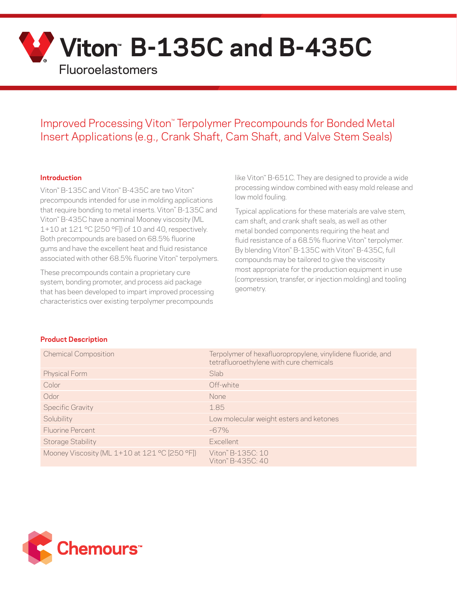

# Improved Processing Viton™ Terpolymer Precompounds for Bonded Metal Insert Applications (e.g., Crank Shaft, Cam Shaft, and Valve Stem Seals)

#### **Introduction**

Viton™ B-135C and Viton™ B-435C are two Viton™ precompounds intended for use in molding applications that require bonding to metal inserts. Viton™ B-135C and Viton™ B-435C have a nominal Mooney viscosity (ML 1+10 at 121 °C [250 °F]) of 10 and 40, respectively. Both precompounds are based on 68.5% fluorine gums and have the excellent heat and fluid resistance associated with other 68.5% fluorine Viton" terpolymers.

These precompounds contain a proprietary cure system, bonding promoter, and process aid package that has been developed to impart improved processing characteristics over existing terpolymer precompounds

like Viton™ B-651C. They are designed to provide a wide processing window combined with easy mold release and low mold fouling.

Typical applications for these materials are valve stem, cam shaft, and crank shaft seals, as well as other metal bonded components requiring the heat and fluid resistance of a 68.5% fluorine Viton™ terpolymer. By blending Viton<sup>™</sup> B-135C with Viton™ B-435C, full compounds may be tailored to give the viscosity most appropriate for the production equipment in use (compression, transfer, or injection molding) and tooling geometry.

#### **Product Description**

| <b>Chemical Composition</b>                   | Terpolymer of hexafluoropropylene, vinylidene fluoride, and<br>tetrafluoroethylene with cure chemicals |
|-----------------------------------------------|--------------------------------------------------------------------------------------------------------|
| <b>Physical Form</b>                          | Slab                                                                                                   |
| Color                                         | Off-white                                                                                              |
| Odor                                          | None                                                                                                   |
| <b>Specific Gravity</b>                       | 1.85                                                                                                   |
| Solubility                                    | Low molecular weight esters and ketones                                                                |
| Fluorine Percent                              | $-67\%$                                                                                                |
| <b>Storage Stability</b>                      | <b>Excellent</b>                                                                                       |
| Mooney Viscosity (ML 1+10 at 121 °C [250 °F]) | Viton" B-135C: 10<br>Viton" B-435C: 40                                                                 |

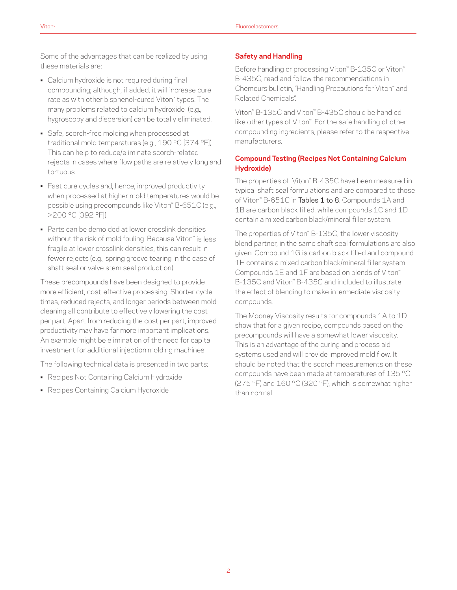Some of the advantages that can be realized by using these materials are:

- Calcium hydroxide is not required during final compounding; although, if added, it will increase cure rate as with other bisphenol-cured Viton™ types. The many problems related to calcium hydroxide (e.g., hygroscopy and dispersion) can be totally eliminated.
- Safe, scorch-free molding when processed at traditional mold temperatures (e.g., 190 °C [374 °F]). This can help to reduce/eliminate scorch-related rejects in cases where flow paths are relatively long and tortuous.
- Fast cure cycles and, hence, improved productivity when processed at higher mold temperatures would be possible using precompounds like Viton™ B-651C (e.g., >200 °C [392 °F]).
- Parts can be demolded at lower crosslink densities without the risk of mold fouling. Because Viton™ is less fragile at lower crosslink densities, this can result in fewer rejects (e.g., spring groove tearing in the case of shaft seal or valve stem seal production).

These precompounds have been designed to provide more efficient, cost-effective processing. Shorter cycle times, reduced rejects, and longer periods between mold cleaning all contribute to effectively lowering the cost per part. Apart from reducing the cost per part, improved productivity may have far more important implications. An example might be elimination of the need for capital investment for additional injection molding machines.

The following technical data is presented in two parts:

- Recipes Not Containing Calcium Hydroxide
- Recipes Containing Calcium Hydroxide

## **Safety and Handling**

Before handling or processing Viton™ B-135C or Viton™ B-435C, read and follow the recommendations in Chemours bulletin, "Handling Precautions for Viton™ and Related Chemicals".

Viton™ B-135C and Viton™ B-435C should be handled like other types of Viton™. For the safe handling of other compounding ingredients, please refer to the respective manufacturers.

# **Compound Testing (Recipes Not Containing Calcium Hydroxide)**

The properties of Viton™ B-435C have been measured in typical shaft seal formulations and are compared to those of Viton" B-651C in Tables 1 to 8. Compounds 1A and 1B are carbon black filled, while compounds 1C and 1D contain a mixed carbon black/mineral filler system.

The properties of Viton™ B-135C, the lower viscosity blend partner, in the same shaft seal formulations are also given. Compound 1G is carbon black filled and compound 1H contains a mixed carbon black/mineral filler system. Compounds 1E and 1F are based on blends of Viton™ B-135C and Viton™ B-435C and included to illustrate the effect of blending to make intermediate viscosity compounds.

The Mooney Viscosity results for compounds 1A to 1D show that for a given recipe, compounds based on the precompounds will have a somewhat lower viscosity. This is an advantage of the curing and process aid systems used and will provide improved mold flow. It should be noted that the scorch measurements on these compounds have been made at temperatures of 135 °C (275 °F) and 160 °C (320 °F), which is somewhat higher than normal.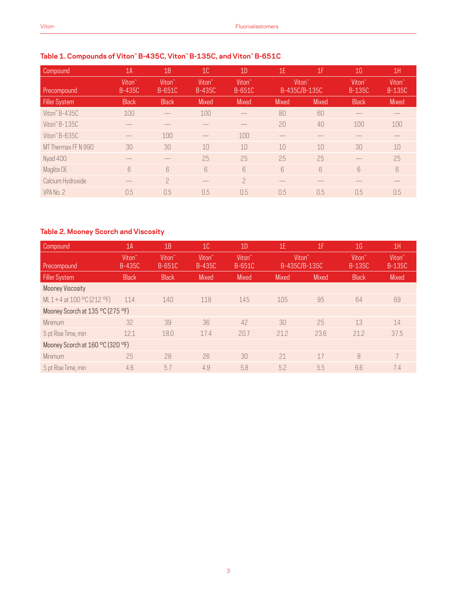# **Table 1. Compounds of Viton™ B-435C, Viton™ B-135C, and Viton™ B-651C**

| Compound             | 1A                                  | 1B                                  | 10 <sup>°</sup>                     | 1D                           | 1E           | 1F                                  | 1 <sub>G</sub>                      | 1H                                  |
|----------------------|-------------------------------------|-------------------------------------|-------------------------------------|------------------------------|--------------|-------------------------------------|-------------------------------------|-------------------------------------|
| Precompound          | Viton <sup>"</sup><br><b>B-435C</b> | Viton <sup>"</sup><br><b>B-651C</b> | Viton <sup>"</sup><br><b>B-435C</b> | Viton <sup>"</sup><br>B-651C |              | Viton <sup>"</sup><br>B-435C/B-135C | Viton <sup>"</sup><br><b>B-135C</b> | Viton <sup>"</sup><br><b>B-135C</b> |
| <b>Filler System</b> | <b>Black</b>                        | <b>Black</b>                        | <b>Mixed</b>                        | <b>Mixed</b>                 | <b>Mixed</b> | <b>Mixed</b>                        | <b>Black</b>                        | <b>Mixed</b>                        |
| Viton" $B-435C$      | 100                                 |                                     | 100                                 |                              | 80           | 60                                  |                                     |                                     |
| Viton $"$ B-135C     |                                     |                                     |                                     |                              | 20           | 40                                  | 100                                 | 100                                 |
| Viton" B-635C        |                                     | 100                                 |                                     | 100                          |              |                                     |                                     |                                     |
| MT Thermax FF N 990  | 30                                  | 30                                  | 10                                  | 10                           | 10           | 10                                  | 30                                  | 10                                  |
| Nyad 400             |                                     |                                     | 25                                  | 25                           | 25           | 25                                  |                                     | 25                                  |
| Maglite DE           | $6\overline{6}$                     | 6                                   | $\sqrt{2}$                          | $6\overline{6}$              | 6            | $6\overline{6}$                     | $6\overline{6}$                     | 6                                   |
| Calcium Hydroxide    |                                     | $\mathcal{P}$                       |                                     | $\overline{\phantom{0}}$     |              |                                     |                                     |                                     |
| VPA No. 2            | 0.5                                 | 0.5                                 | 0.5                                 | 0.5                          | 0.5          | 0.5                                 | 0.5                                 | 0.5                                 |

# **Table 2. Mooney Scorch and Viscosity**

| Compound                         | 1A                                  | 1B                           | 10 <sup>°</sup>              | 1 <sub>D</sub>               | 1E                                  | 1F           | 1 <sub>G</sub>                      | 1H                                  |
|----------------------------------|-------------------------------------|------------------------------|------------------------------|------------------------------|-------------------------------------|--------------|-------------------------------------|-------------------------------------|
| Precompound                      | Viton <sup>®</sup><br><b>B-435C</b> | Viton <sup>"</sup><br>B-651C | Viton <sup>®</sup><br>B-435C | Viton <sup>"</sup><br>B-651C | Viton <sup>"</sup><br>B-435C/B-135C |              | Viton <sup>"</sup><br><b>B-135C</b> | Viton <sup>®</sup><br><b>B-135C</b> |
| Filler System                    | <b>Black</b>                        | <b>Black</b>                 | <b>Mixed</b>                 | <b>Mixed</b>                 | <b>Mixed</b>                        | <b>Mixed</b> | <b>Black</b>                        | <b>Mixed</b>                        |
| <b>Mooney Viscosity</b>          |                                     |                              |                              |                              |                                     |              |                                     |                                     |
| ML 1+4 at 100 °C (212 °F)        | 114                                 | 140                          | 118                          | 145                          | 105                                 | 95           | 64                                  | 69                                  |
| Mooney Scorch at 135 °C (275 °F) |                                     |                              |                              |                              |                                     |              |                                     |                                     |
| Minimum                          | 32                                  | 39                           | 36                           | 42                           | 30                                  | 25           | 13                                  | 14                                  |
| 5 pt Rise Time, min              | 12.1                                | 18.0                         | 17.4                         | 20.7                         | 21.2                                | 23.6         | 21.2                                | 37.5                                |
| Mooney Scorch at 160 °C (320 °F) |                                     |                              |                              |                              |                                     |              |                                     |                                     |
| Minimum                          | 25                                  | 28                           | 26                           | 30                           | 21                                  | 17           | 8                                   | $\overline{7}$                      |
| 5 pt Rise Time, min              | 4.6                                 | 5.7                          | 4.9                          | 5.8                          | 5.2                                 | 5.5          | 6.6                                 | 7.4                                 |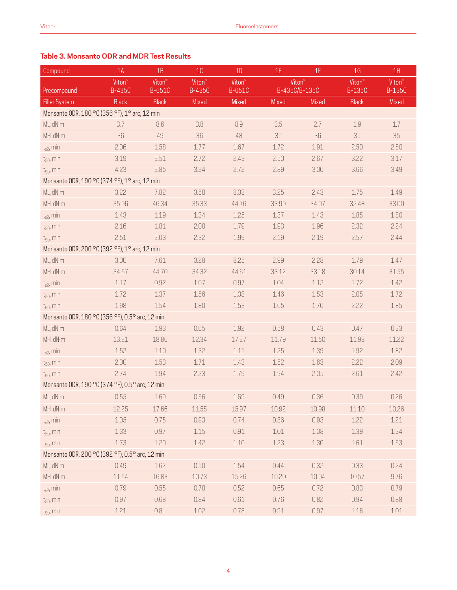# **Table 3. Monsanto ODR and MDR Test Results**

| Compound                                        | 1A                                  | 1B                           | 10                                  | 1D                                  | 1E                                  | 1F           | 1 <sub>G</sub>                      | 1H                             |
|-------------------------------------------------|-------------------------------------|------------------------------|-------------------------------------|-------------------------------------|-------------------------------------|--------------|-------------------------------------|--------------------------------|
| Precompound                                     | Viton <sup>"</sup><br><b>B-435C</b> | Viton <sup>"</sup><br>B-651C | Viton <sup>®</sup><br><b>B-435C</b> | Viton <sup>®</sup><br><b>B-651C</b> | Viton <sup>"</sup><br>B-435C/B-135C |              | Viton <sup>"</sup><br><b>B-135C</b> | Viton <sup>"</sup><br>$B-135C$ |
| <b>Filler System</b>                            | <b>Black</b>                        | <b>Black</b>                 | Mixed                               | Mixed                               | Mixed                               | <b>Mixed</b> | <b>Black</b>                        | Mixed                          |
| Monsanto ODR, 180 °C (356 °F), 1° arc, 12 min   |                                     |                              |                                     |                                     |                                     |              |                                     |                                |
| ML, dN·m                                        | 3.7                                 | 8.6                          | 3.8                                 | 8.9                                 | 3.5                                 | 2.7          | 1.9                                 | 1.7                            |
| MH, dN·m                                        | 36                                  | 49                           | 36                                  | 48                                  | 35                                  | 36           | 35                                  | 35                             |
| $t_{s2}$ , min                                  | 2.06                                | 1.58                         | 1.77                                | 1.67                                | 1.72                                | 1.91         | 2.50                                | 2.50                           |
| $t_{50}$ , min                                  | 3.19                                | 2.51                         | 2.72                                | 2.43                                | 2.50                                | 2.67         | 3.22                                | 3.17                           |
| $t_{90}$ , min                                  | 4.23                                | 2.85                         | 3.24                                | 2.72                                | 2.89                                | 3.00         | 3.66                                | 3.49                           |
| Monsanto ODR, 190 °C (374 °F), 1° arc, 12 min   |                                     |                              |                                     |                                     |                                     |              |                                     |                                |
| ML, dN·m                                        | 3.22                                | 7.82                         | 3.50                                | 8.33                                | 3.25                                | 2.43         | 1.75                                | 1.49                           |
| MH, dN·m                                        | 35.96                               | 46.34                        | 35.33                               | 44.76                               | 33.99                               | 34.07        | 32.48                               | 33.00                          |
| $t_{s2}$ , min                                  | 1.43                                | 1.19                         | 1.34                                | 1.25                                | 1.37                                | 1.43         | 1.85                                | 1.80                           |
| $t_{50}$ , min                                  | 2.16                                | 1.81                         | 2.00                                | 1.79                                | 1.93                                | 1.96         | 2.32                                | 2.24                           |
| $t_{90}$ , min                                  | 2.51                                | 2.03                         | 2.32                                | 1.99                                | 2.19                                | 2.19         | 2.57                                | 2.44                           |
| Monsanto ODR, 200 °C (392 °F), 1° arc, 12 min   |                                     |                              |                                     |                                     |                                     |              |                                     |                                |
| ML, dN·m                                        | 3.00                                | 7.61                         | 3.28                                | 8.25                                | 2.99                                | 2.28         | 1.79                                | 1.47                           |
| MH, dN·m                                        | 34.57                               | 44.70                        | 34.32                               | 44.61                               | 33.12                               | 33.18        | 30.14                               | 31.55                          |
| $t_{s2}$ , min                                  | 1.17                                | 0.92                         | 1.07                                | 0.97                                | 1.04                                | 1.12         | 1.72                                | 1.42                           |
| $t_{50}$ , min                                  | 1.72                                | 1.37                         | 1.56                                | 1.38                                | 1.46                                | 1.53         | 2.05                                | 1.72                           |
| $t_{90}$ , min                                  | 1.98                                | 1.54                         | 1.80                                | 1.53                                | 1.65                                | 1.70         | 2.22                                | 1.85                           |
| Monsanto ODR, 180 °C (356 °F), 0.5° arc, 12 min |                                     |                              |                                     |                                     |                                     |              |                                     |                                |
| ML, dN·m                                        | 0.64                                | 1.93                         | 0.65                                | 1.92                                | 0.58                                | 0.43         | 0.47                                | 0.33                           |
| MH, dN·m                                        | 13.21                               | 18.86                        | 12.34                               | 17.27                               | 11.79                               | 11.50        | 11.98                               | 11.22                          |
| $t_{s2}$ , min                                  | 1.52                                | 1.10                         | 1.32                                | 1.11                                | 1.25                                | 1.39         | 1.92                                | 1.82                           |
| $t_{50}$ , min                                  | 2.00                                | 1.53                         | 1.71                                | 1.43                                | 1.52                                | 1.63         | 2.22                                | 2.09                           |
| $t_{90}$ , min                                  | 2.74                                | 1.94                         | 2.23                                | 1.79                                | 1.94                                | 2.05         | 2.61                                | 2.42                           |
| Monsanto ODR, 190 °C (374 °F), 0.5° arc, 12 min |                                     |                              |                                     |                                     |                                     |              |                                     |                                |
| ML, dN·m                                        | 0.55                                | 1.69                         | 0.56                                | 1.69                                | 0.49                                | 0.36         | 0.39                                | 0.26                           |
| MH, dN·m                                        | 12.25                               | 17.66                        | 11.55                               | 15.97                               | 10.92                               | 10.98        | 11.10                               | 10.26                          |
| $t_{s2}$ , min                                  | 1.05                                | 0.75                         | 0.93                                | 0.74                                | 0.86                                | 0.93         | 1.22                                | 1.21                           |
| $t_{50}$ , min                                  | 1.33                                | 0.97                         | $1.15\,$                            | 0.91                                | $1.01\,$                            | 1.08         | 1.39                                | 1.34                           |
| $t_{90}$ , min                                  | 1.73                                | 1.20                         | 1.42                                | $1.10\,$                            | 1.23                                | 1.30         | 1.61                                | 1.53                           |
| Monsanto ODR, 200 °C (392 °F), 0.5° arc, 12 min |                                     |                              |                                     |                                     |                                     |              |                                     |                                |
| ML, dN·m                                        | 0.49                                | 1.62                         | 0.50                                | 1.54                                | 0.44                                | 0.32         | 0.33                                | 0.24                           |
| MH, dN·m                                        | 11.54                               | 16.83                        | 10.73                               | 15.26                               | 10.20                               | 10.04        | 10.57                               | 9.76                           |
| $t_{s2}$ , min                                  | 0.79                                | 0.55                         | 0.70                                | 0.52                                | 0.65                                | 0.72         | 0.83                                | 0.79                           |
| $t_{50}$ , min                                  | 0.97                                | 0.68                         | 0.84                                | 0.61                                | 0.76                                | 0.82         | 0.94                                | 0.88                           |
| $t_{90}$ , min                                  | 1.21                                | 0.81                         | 1.02                                | 0.78                                | 0.91                                | 0.97         | 1.16                                | 1.01                           |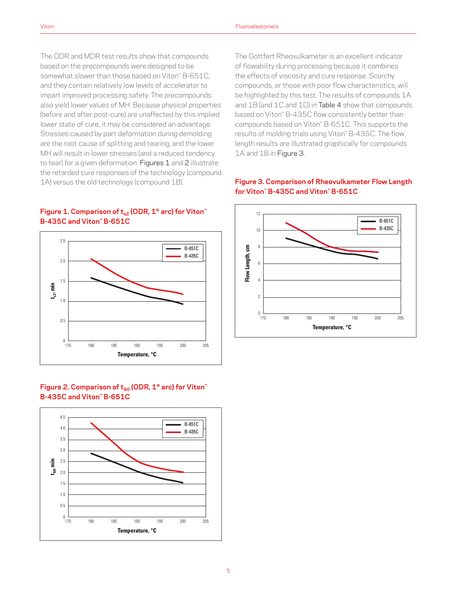The ODR and MDR test results show that compounds based on the precompounds were designed to be somewhat slower than those based on Viton™ B-651C, and they contain relatively low levels of accelerator to impart improved processing safety. The precompounds also yield lower values of MH. Because physical properties (before and after post-cure) are unaffected by this implied lower state of cure, it may be considered an advantage. Stresses caused by part deformation during demolding are the root cause of splitting and tearing, and the lower MH will result in lower stresses (and a reduced tendency to tear) for a given deformation. Figures 1 and 2 illustrate the retarded cure responses of the technology (compound 1A) versus the old technology (compound 1B).



#### **Figure 1. Comparison of t<sub>s2</sub> (ODR, 1° arc) for Viton<sup>™</sup> B-435C and Viton™ B-651C**

Figure 2. Comparison of t<sub>90</sub> (ODR, 1° arc) for Viton<sup>™</sup> **B-435C and Viton™ B-651C**



The Gottfert Rheovulkameter is an excellent indicator of flowability during processing because it combines the effects of viscosity and cure response. Scorchy compounds, or those with poor flow characteristics, will be highlighted by this test. The results of compounds 1A and 1B (and 1C and 1D) in Table 4 show that compounds based on Viton™ B-435C flow consistently better than compounds based on Viton™ B-651C. This supports the results of molding trials using Viton™ B-435C. The flow length results are illustrated graphically for compounds 1A and 1B in Figure 3.

# **Figure 3. Comparison of Rheovulkameter Flow Length for Viton™ B-435C and Viton™ B-651C**



#### 5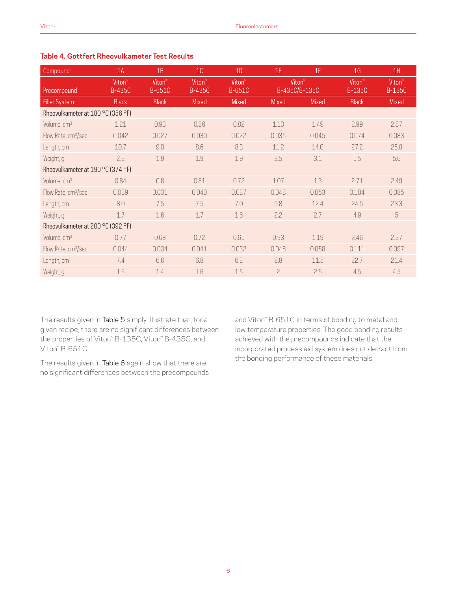#### Compound 1A 1B 1C 1D 1E 1F 1G 1H Precompound Viton™ B-435C Viton<sup>™</sup> B-651C Viton™ B-435C Viton<sup>™</sup> B-651C Viton<sup>™</sup> B-435C/B-135C Viton™ B-135C Viton<sup>™</sup> B-135C Filler System Black Black Mixed Mixed Mixed Mixed Black Mixed Rheovulkameter at 180 °C (356 °F) Volume, cm3 1.21 0.93 0.86 0.82 1.13 1.49 2.99 2.87 Flow Rate, cm3/sec 0.042 0.027 0.030 0.022 0.035 0.045 0.074 0.083 Length, cm 10.7 9.0 8.6 8.3 11.2 14.0 27.2 25.8 Weight, g 2.2 1.9 1.9 1.9 2.5 3.1 5.5 5.6 Rheovulkameter at 190 °C (374 °F) Volume, cm3 0.84 0.8 0.81 0.72 1.07 1.3 2.71 2.49 Flow Rate, cm3/sec 0.039 0.031 0.040 0.027 0.048 0.053 0.104 0.085 Length, cm 8.0 7.5 7.5 7.0 9.8 12.4 24.5 23.3 Weight, g 1.7 1.6 1.7 1.6 2.2 2.7 4.9 5 Rheovulkameter at 200 °C (392 °F) Volume, cm3 0.77 0.68 0.72 0.65 0.93 1.19 2.46 2.27 Flow Rate, cm3/sec 0.044 0.034 0.041 0.032 0.048 0.058 0.111 0.097 Length, cm 7.4 6.6 6.8 6.2 8.8 11.5 22.7 21.4 Weight, g 1.6 1.4 1.6 1.5 2 2.5 4.5 4.5

### **Table 4. Gottfert Rheovulkameter Test Results**

The results given in Table 5 simply illustrate that, for a given recipe, there are no significant differences between the properties of Viton™ B-135C, Viton™ B-435C, and Viton™ B-651C.

The results given in Table 6 again show that there are no significant differences between the precompounds and Viton™ B-651C in terms of bonding to metal and low temperature properties. The good bonding results achieved with the precompounds indicate that the incorporated process aid system does not detract from the bonding performance of these materials.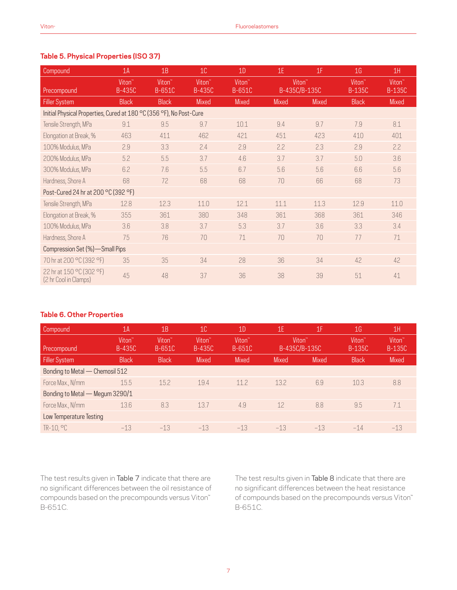# **Table 5. Physical Properties (ISO 37)**

| Compound                                                            | 1A                                  | 1B                           | 10 <sup>°</sup>                     | 1D                           | 1E                 | 1F            | 1 <sub>G</sub>                      | 1H                                  |
|---------------------------------------------------------------------|-------------------------------------|------------------------------|-------------------------------------|------------------------------|--------------------|---------------|-------------------------------------|-------------------------------------|
| Precompound                                                         | Viton <sup>"</sup><br><b>B-435C</b> | Viton <sup>"</sup><br>B-651C | Viton <sup>"</sup><br><b>B-435C</b> | Viton <sup>"</sup><br>B-651C | Viton <sup>"</sup> | B-435C/B-135C | Viton <sup>"</sup><br><b>B-135C</b> | Viton <sup>"</sup><br><b>B-135C</b> |
| <b>Filler System</b>                                                | <b>Black</b>                        | <b>Black</b>                 | Mixed                               | Mixed                        | <b>Mixed</b>       | <b>Mixed</b>  | <b>Black</b>                        | Mixed                               |
| Initial Physical Properties, Cured at 180 °C (356 °F), No Post-Cure |                                     |                              |                                     |                              |                    |               |                                     |                                     |
| Tensile Strength, MPa                                               | 9.1                                 | 9.5                          | 9.7                                 | 10.1                         | 9.4                | 9.7           | 7.9                                 | 8.1                                 |
| Elongation at Break, %                                              | 463                                 | 411                          | 462                                 | 421                          | 451                | 423           | 410                                 | 401                                 |
| 100% Modulus, MPa                                                   | 2.9                                 | 3.3                          | 2.4                                 | 2.9                          | 2.2                | 2.3           | 2.9                                 | 2.2                                 |
| 200% Modulus, MPa                                                   | 5.2                                 | 5.5                          | 3.7                                 | 4.6                          | 3.7                | 3.7           | 5.0                                 | 3.6                                 |
| 300% Modulus, MPa                                                   | 6.2                                 | 7.6                          | 5.5                                 | 6.7                          | 5.6                | 5.6           | 6.6                                 | 5.6                                 |
| Hardness, Shore A                                                   | 68                                  | 72                           | 68                                  | 68                           | 70                 | 66            | 68                                  | 73                                  |
| Post-Cured 24 hr at 200 °C (392 °F)                                 |                                     |                              |                                     |                              |                    |               |                                     |                                     |
| Tensile Strength, MPa                                               | 12.8                                | 12.3                         | 11.0                                | 12.1                         | 11.1               | 11.3          | 12.9                                | 11.0                                |
| Elongation at Break, %                                              | 355                                 | 361                          | 380                                 | 348                          | 361                | 368           | 361                                 | 346                                 |
| 100% Modulus, MPa                                                   | 3.6                                 | 3.8                          | 3.7                                 | 5.3                          | 3.7                | 3.6           | 3.3                                 | 3.4                                 |
| Hardness, Shore A                                                   | 75                                  | 76                           | 70                                  | 71                           | 70                 | 70            | 77                                  | 71                                  |
| Compression Set (%)-Small Pips                                      |                                     |                              |                                     |                              |                    |               |                                     |                                     |
| 70 hr at 200 °C (392 °F)                                            | 35                                  | 35                           | 34                                  | 28                           | 36                 | 34            | 42                                  | 42                                  |
| 22 hr at 150 °C (302 °F)<br>(2 hr Cool in Clamps)                   | 45                                  | 48                           | 37                                  | 36                           | 38                 | 39            | 51                                  | 41                                  |

#### **Table 6. Other Properties**

| Compound                        | 1A                                  | 1B                           | 10                                  | 1 <sub>D</sub>                      | 1E                                  | 1F           | 1 <sub>G</sub>                      | 1H                                  |
|---------------------------------|-------------------------------------|------------------------------|-------------------------------------|-------------------------------------|-------------------------------------|--------------|-------------------------------------|-------------------------------------|
| Precompound                     | Viton <sup>®</sup><br><b>B-435C</b> | Viton <sup>"</sup><br>B-651C | Viton <sup>"</sup><br><b>B-435C</b> | Viton <sup>®</sup><br><b>B-651C</b> | Viton <sup>"</sup><br>B-435C/B-135C |              | Viton <sup>"</sup><br><b>B-135C</b> | Viton <sup>®</sup><br><b>B-135C</b> |
| <b>Filler System</b>            | <b>Black</b>                        | <b>Black</b>                 | <b>Mixed</b>                        | <b>Mixed</b>                        | <b>Mixed</b>                        | <b>Mixed</b> | <b>Black</b>                        | <b>Mixed</b>                        |
| Bonding to Metal - Chemosil 512 |                                     |                              |                                     |                                     |                                     |              |                                     |                                     |
| Force Max., N/mm                | 15.5                                | 15.2                         | 19.4                                | 11.2                                | 13.2                                | 6.9          | 10.3                                | 8.8                                 |
| Bonding to Metal — Megum 3290/1 |                                     |                              |                                     |                                     |                                     |              |                                     |                                     |
| Force Max., N/mm                | 13.6                                | 8.3                          | 13.7                                | 4.9                                 | 12                                  | 8.8          | 9.5                                 | 7.1                                 |
| Low Temperature Testing         |                                     |                              |                                     |                                     |                                     |              |                                     |                                     |
| $TR-10.$ $°C$                   | $-13$                               | $-13$                        | $-13$                               | $-1.3$                              | $-13$                               | $-13$        | $-14$                               | $-13$                               |

The test results given in Table 7 indicate that there are no significant differences between the oil resistance of compounds based on the precompounds versus Viton™ B-651C.

The test results given in Table 8 indicate that there are no significant differences between the heat resistance of compounds based on the precompounds versus Viton™ B-651C.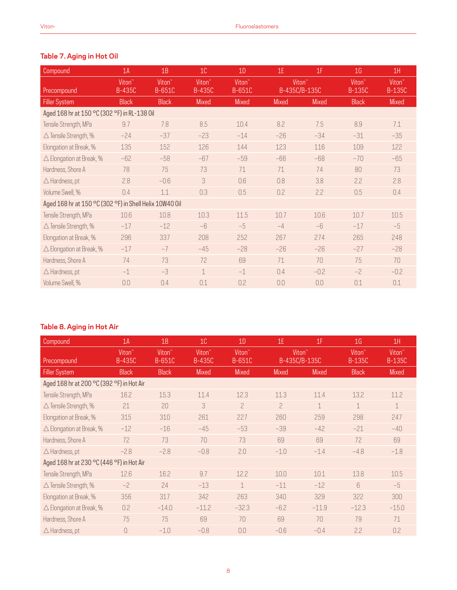# **Table 7. Aging in Hot Oil**

| Compound                                                | 1A                                  | 1B                           | 10 <sup>°</sup>                     | 1D                           | 1E                 | 1F            | 1 <sub>G</sub>                      | 1H                                  |
|---------------------------------------------------------|-------------------------------------|------------------------------|-------------------------------------|------------------------------|--------------------|---------------|-------------------------------------|-------------------------------------|
| Precompound                                             | Viton <sup>"</sup><br><b>B-435C</b> | Viton <sup>"</sup><br>B-651C | Viton <sup>"</sup><br><b>B-435C</b> | Viton <sup>"</sup><br>B-651C | Viton <sup>"</sup> | B-435C/B-135C | Viton <sup>"</sup><br><b>B-135C</b> | Viton <sup>"</sup><br><b>B-135C</b> |
| <b>Filler System</b>                                    | <b>Black</b>                        | <b>Black</b>                 | Mixed                               | Mixed                        | Mixed              | <b>Mixed</b>  | <b>Black</b>                        | Mixed                               |
| Aged 168 hr at 150 °C (302 °F) in RL-138 0il            |                                     |                              |                                     |                              |                    |               |                                     |                                     |
| Tensile Strength, MPa                                   | 9.7                                 | 7.8                          | 8.5                                 | 10.4                         | 8.2                | 7.5           | 8.9                                 | 7.1                                 |
| $\triangle$ Tensile Strength, %                         | $-24$                               | $-37$                        | $-23$                               | $-14$                        | $-26$              | $-34$         | $-31$                               | $-35$                               |
| Elongation at Break, %                                  | 135                                 | 152                          | 126                                 | 144                          | 123                | 116           | 109                                 | 122                                 |
| $\triangle$ Elongation at Break, %                      | $-62$                               | $-58$                        | $-67$                               | $-59$                        | $-66$              | $-68$         | $-70$                               | $-65$                               |
| Hardness, Shore A                                       | 78                                  | 75                           | 73                                  | 71                           | 71                 | 74            | 80                                  | 73                                  |
| $\triangle$ Hardness, pt                                | 2.8                                 | $-0.6$                       | 3                                   | 0.6                          | 0.8                | 3.8           | 2.2                                 | 2.8                                 |
| Volume Swell, %                                         | 0.4                                 | 1.1                          | 0.3                                 | 0.5                          | 0.2                | 2.2           | 0.5                                 | 0.4                                 |
| Aged 168 hr at 150 °C (302 °F) in Shell Helix 10W40 0il |                                     |                              |                                     |                              |                    |               |                                     |                                     |
| Tensile Strength, MPa                                   | 10.6                                | 10.8                         | 10.3                                | 11.5                         | 10.7               | 10.6          | 10.7                                | 10.5                                |
| $\triangle$ Tensile Strength, %                         | $-17$                               | $-12$                        | $-6$                                | $-5$                         | $-4$               | $-6$          | $-17$                               | $-5$                                |
| Elongation at Break, %                                  | 296                                 | 337                          | 208                                 | 252                          | 267                | 274           | 265                                 | 248                                 |
| $\triangle$ Elongation at Break, %                      | $-17$                               | $-7$                         | $-45$                               | $-28$                        | $-26$              | $-26$         | $-27$                               | $-28$                               |
| Hardness, Shore A                                       | 74                                  | 73                           | 72                                  | 69                           | 71                 | 70            | 75                                  | 70                                  |
| $\triangle$ Hardness, pt                                | $-1$                                | $-3$                         | $\mathbf 1$                         | $-1$                         | 0.4                | $-0.2$        | $-2$                                | $-0.2$                              |
| Volume Swell, %                                         | 0.0                                 | 0.4                          | 0.1                                 | 0.2                          | 0.0                | 0.0           | 0.1                                 | 0.1                                 |

# **Table 8. Aging in Hot Air**

| Compound                                  | 1A                           | 1B               | 10 <sup>°</sup>                     | 1D                           | 1E                 | 1F            | 1 <sub>G</sub>               | 1H                                  |
|-------------------------------------------|------------------------------|------------------|-------------------------------------|------------------------------|--------------------|---------------|------------------------------|-------------------------------------|
| Precompound                               | Viton <sup>"</sup><br>B-435C | Viton™<br>B-651C | Viton <sup>"</sup><br><b>B-435C</b> | Viton <sup>"</sup><br>B-651C | Viton <sup>"</sup> | B-435C/B-135C | Viton <sup>"</sup><br>B-135C | Viton <sup>"</sup><br><b>B-135C</b> |
| <b>Filler System</b>                      | <b>Black</b>                 | <b>Black</b>     | <b>Mixed</b>                        | <b>Mixed</b>                 | Mixed              | Mixed         | <b>Black</b>                 | Mixed                               |
| Aged 168 hr at 200 °C (392 °F) in Hot Air |                              |                  |                                     |                              |                    |               |                              |                                     |
| Tensile Strength, MPa                     | 16.2                         | 15.3             | 11.4                                | 12.3                         | 11.3               | 11.4          | 13.2                         | 11.2                                |
| $\triangle$ Tensile Strength, %           | 21                           | 20               | 3                                   | $\overline{c}$               | $\overline{c}$     | $\mathbf 1$   | $\mathbf 1$                  | $\mathbf{1}$                        |
| Elongation at Break, %                    | 315                          | 310              | 261                                 | 227                          | 260                | 259           | 298                          | 247                                 |
| $\triangle$ Elongation at Break, %        | $-12$                        | $-16$            | $-45$                               | $-53$                        | $-39$              | $-42$         | $-21$                        | $-40$                               |
| Hardness, Shore A                         | 72                           | 73               | 70                                  | 73                           | 69                 | 69            | 72                           | 69                                  |
| $\triangle$ Hardness, pt                  | $-2.8$                       | $-2.8$           | $-0.8$                              | 2.0                          | $-1.0$             | $-1.4$        | $-4.8$                       | $-1.8$                              |
| Aged 168 hr at 230 °C (446 °F) in Hot Air |                              |                  |                                     |                              |                    |               |                              |                                     |
| Tensile Strength, MPa                     | 12.6                         | 16.2             | 9.7                                 | 12.2                         | 10.0               | 10.1          | 13.8                         | 10.5                                |
| $\triangle$ Tensile Strength, %           | $-2$                         | 24               | $-13$                               | $\mathbf 1$                  | $-11$              | $-12$         | $6\overline{6}$              | $-5$                                |
| Elongation at Break, %                    | 356                          | 317              | 342                                 | 263                          | 340                | 329           | 322                          | 300                                 |
| $\triangle$ Elongation at Break, %        | 0.2                          | $-14.0$          | $-11.2$                             | $-32.3$                      | $-6.2$             | $-11.9$       | $-12.3$                      | $-15.0$                             |
| Hardness, Shore A                         | 75                           | 75               | 69                                  | 70                           | 69                 | 70            | 79                           | 71                                  |
| $\triangle$ Hardness, pt                  | 0.                           | $-1.0$           | $-0.8$                              | 0.0                          | $-0.6$             | $-0.4$        | 2.2                          | 0.2                                 |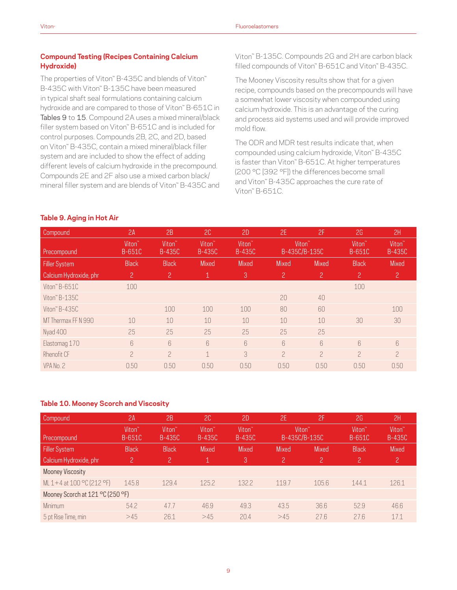# **Compound Testing (Recipes Containing Calcium Hydroxide)**

The properties of Viton™ B-435C and blends of Viton™ B-435C with Viton™ B-135C have been measured in typical shaft seal formulations containing calcium hydroxide and are compared to those of Viton™ B-651C in Tables 9 to 15. Compound 2A uses a mixed mineral/black filler system based on Viton™ B-651C and is included for control purposes. Compounds 2B, 2C, and 2D, based on Viton™ B-435C, contain a mixed mineral/black filler system and are included to show the effect of adding different levels of calcium hydroxide in the precompound. Compounds 2E and 2F also use a mixed carbon black/ mineral filler system and are blends of Viton™ B-435C and Viton™ B-135C. Compounds 2G and 2H are carbon black filled compounds of Viton™ B-651C and Viton™ B-435C.

The Mooney Viscosity results show that for a given recipe, compounds based on the precompounds will have a somewhat lower viscosity when compounded using calcium hydroxide. This is an advantage of the curing and process aid systems used and will provide improved mold flow.

The ODR and MDR test results indicate that, when compounded using calcium hydroxide, Viton™ B-435C is faster than Viton™ B-651C. At higher temperatures (200 °C [392 °F]) the differences become small and Viton™ B-435C approaches the cure rate of Viton™ B-651C.

#### **Table 9. Aging in Hot Air**

| Compound               | 2A                           | 2B                                  | 2C                                  | 2D                                  | 2E              | 2F                                  | 2G                                  | 2H                                  |
|------------------------|------------------------------|-------------------------------------|-------------------------------------|-------------------------------------|-----------------|-------------------------------------|-------------------------------------|-------------------------------------|
| Precompound            | Viton <sup>"</sup><br>B-651C | Viton <sup>®</sup><br><b>B-435C</b> | Viton <sup>"</sup><br><b>B-435C</b> | Viton <sup>"</sup><br><b>B-435C</b> |                 | Viton <sup>"</sup><br>B-435C/B-135C | Viton <sup>®</sup><br><b>B-651C</b> | Viton <sup>®</sup><br><b>B-435C</b> |
| <b>Filler System</b>   | <b>Black</b>                 | <b>Black</b>                        | <b>Mixed</b>                        | Mixed                               | <b>Mixed</b>    | <b>Mixed</b>                        | <b>Black</b>                        | <b>Mixed</b>                        |
| Calcium Hydroxide, phr | $\overline{c}$               | $\mathbf{2}$                        | 1                                   | $\mathbf{3}$                        | 2               | 2                                   | $\mathbf{2}$                        | $\overline{c}$                      |
| Viton" B-651C          | 100                          |                                     |                                     |                                     |                 |                                     | 100                                 |                                     |
| Viton $B-135C$         |                              |                                     |                                     |                                     | 20              | 40                                  |                                     |                                     |
| Viton" B-435C          |                              | 100                                 | 100                                 | 100                                 | 80              | 60                                  |                                     | 100                                 |
| MT Thermax FF N 990    | 10                           | 10                                  | 10                                  | 10                                  | 10              | 10                                  | 30                                  | 30                                  |
| Nyad 400               | 25                           | 25                                  | 25                                  | 25                                  | 25              | 25                                  |                                     |                                     |
| Elastomag 170          | 6                            | 6                                   | $6\overline{6}$                     | $6\overline{6}$                     | $6\overline{6}$ | 6                                   | $6\overline{6}$                     | 6                                   |
| Rhenofit CF            | $\overline{2}$               | $\overline{a}$                      | 1                                   | $\mathcal{S}$                       | $\overline{a}$  | $\overline{c}$                      | $\overline{a}$                      | $\overline{c}$                      |
| VPA No. 2              | 0.50                         | 0.50                                | 0.50                                | 0.50                                | 0.50            | 0.50                                | 0.50                                | 0.50                                |

#### **Table 10. Mooney Scorch and Viscosity**

| Compound                         | 2A                           | 2B                                  | 2C                           | 2D                           | 2E                 | 2F             | 2G                                  | 2H                                  |
|----------------------------------|------------------------------|-------------------------------------|------------------------------|------------------------------|--------------------|----------------|-------------------------------------|-------------------------------------|
| Precompound                      | Viton <sup>"</sup><br>B-651C | Viton <sup>"</sup><br><b>B-435C</b> | Viton <sup>"</sup><br>B-435C | Viton <sup>"</sup><br>B-435C | Viton <sup>"</sup> | B-435C/B-135C  | Viton <sup>®</sup><br><b>B-651C</b> | Viton <sup>®</sup><br><b>B-435C</b> |
| <b>Filler System</b>             | <b>Black</b>                 | <b>Black</b>                        | <b>Mixed</b>                 | <b>Mixed</b>                 | <b>Mixed</b>       | <b>Mixed</b>   | <b>Black</b>                        | <b>Mixed</b>                        |
| Calcium Hydroxide, phr           | $2^{\circ}$                  | $\overline{2}$                      |                              | 3                            | $\overline{c}$     | $\overline{c}$ | 2                                   | $\overline{c}$                      |
| <b>Mooney Viscosity</b>          |                              |                                     |                              |                              |                    |                |                                     |                                     |
| ML 1+4 at 100 °C (212 °F)        | 145.8                        | 129.4                               | 125.2                        | 132.2                        | 119.7              | 105.6          | 144.1                               | 126.1                               |
| Mooney Scorch at 121 °C (250 °F) |                              |                                     |                              |                              |                    |                |                                     |                                     |
| Minimum                          | 54.2                         | 47.7                                | 46.9                         | 49.3                         | 43.5               | 36.6           | 52.9                                | 46.6                                |
| 5 pt Rise Time, min              | >45                          | 26.1                                | >45                          | 20.4                         | >45                | 27.6           | 27.6                                | 171                                 |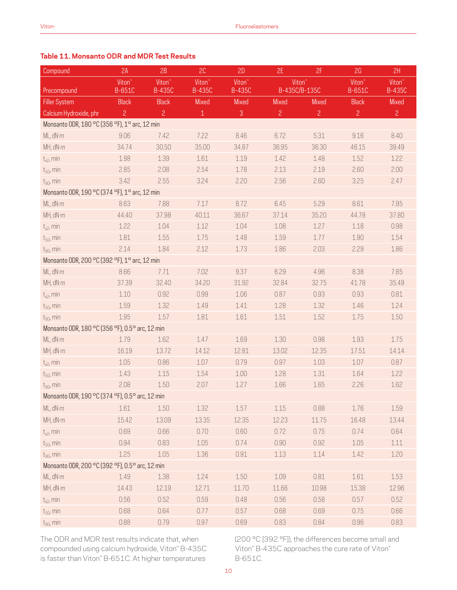# **Table 11. Monsanto ODR and MDR Test Results**

| Compound                                        | 2A                           | 2B                                  | 2C                                  | 2D                                  | 2E                                  | 2F             | 2G                                  | 2H                                  |
|-------------------------------------------------|------------------------------|-------------------------------------|-------------------------------------|-------------------------------------|-------------------------------------|----------------|-------------------------------------|-------------------------------------|
| Precompound                                     | Viton <sup>"</sup><br>B-651C | Viton <sup>"</sup><br><b>B-435C</b> | Viton <sup>"</sup><br><b>B-435C</b> | Viton <sup>"</sup><br><b>B-435C</b> | Viton <sup>"</sup><br>B-435C/B-135C |                | Viton <sup>"</sup><br><b>B-651C</b> | Viton <sup>"</sup><br><b>B-435C</b> |
| <b>Filler System</b>                            | <b>Black</b>                 | <b>Black</b>                        | Mixed                               | Mixed                               | Mixed                               | Mixed          | <b>Black</b>                        | Mixed                               |
| Calcium Hydroxide, phr                          | $\overline{c}$               | $\overline{c}$                      | $\mathbf 1$                         | $\mathbf{3}$                        | $\overline{c}$                      | $\overline{c}$ | $\overline{c}$                      | $\overline{2}$                      |
| Monsanto ODR, 180 °C (356 °F), 1° arc, 12 min   |                              |                                     |                                     |                                     |                                     |                |                                     |                                     |
| ML, dN·m                                        | 9.06                         | 7.42                                | 7.22                                | 8.46                                | 6.72                                | 5.31           | 9.16                                | 8.40                                |
| MH, dN·m                                        | 34.74                        | 30.50                               | 35.00                               | 34.87                               | 36.95                               | 36.30          | 46.15                               | 39.49                               |
| $t_{s2}$ , min                                  | 1.98                         | 1.39                                | 1.61                                | 1.19                                | 1.42                                | 1.48           | 1.52                                | 1.22                                |
| $t_{50}$ , min                                  | 2.85                         | 2.08                                | 2.54                                | 1.78                                | 2.13                                | 2.19           | 2.60                                | 2.00                                |
| $t_{90}$ , min                                  | 3.42                         | 2.55                                | 3.24                                | 2.20                                | 2.56                                | 2.60           | 3.25                                | 2.47                                |
| Monsanto ODR, 190 °C (374 °F), 1° arc, 12 min   |                              |                                     |                                     |                                     |                                     |                |                                     |                                     |
| ML, dN·m                                        | 8.63                         | 7.88                                | 7.17                                | 8.72                                | 6.45                                | 5.29           | 8.61                                | 7.95                                |
| MH, dN·m                                        | 44.40                        | 37.98                               | 40.11                               | 36.67                               | 37.14                               | 35.20          | 44.78                               | 37.80                               |
| $t_{s2}$ , min                                  | 1.22                         | 1.04                                | 1.12                                | 1.04                                | 1.08                                | 1.27           | 1.18                                | 0.98                                |
| $t_{50}$ , min                                  | 1.81                         | 1.55                                | 1.75                                | 1.48                                | 1.59                                | 1.77           | 1.90                                | 1.54                                |
| $t_{90}$ , min                                  | 2.14                         | 1.84                                | 2.12                                | 1.73                                | 1.86                                | 2.03           | 2.29                                | 1.86                                |
| Monsanto ODR, 200 °C (392 °F), 1° arc, 12 min   |                              |                                     |                                     |                                     |                                     |                |                                     |                                     |
| ML, dN·m                                        | 8.66                         | 7.71                                | 7.02                                | 9.37                                | 6.29                                | 4.96           | 8.38                                | 7.85                                |
| MH, dN·m                                        | 37.39                        | 32.40                               | 34.20                               | 31.92                               | 32.84                               | 32.75          | 41.78                               | 35.49                               |
| $t_{s2}$ , min                                  | 1.10                         | 0.92                                | 0.99                                | 1.06                                | 0.87                                | 0.93           | 0.93                                | 0.81                                |
| $t_{50}$ , min                                  | 1.59                         | 1.32                                | 1.49                                | 1.41                                | 1.28                                | 1.32           | 1.46                                | 1.24                                |
| $t_{90}$ , min                                  | 1.95                         | 1.57                                | 1.81                                | 1.61                                | 1.51                                | 1.52           | 1.75                                | $1.50\,$                            |
| Monsanto ODR, 180 °C (356 °F), 0.5° arc, 12 min |                              |                                     |                                     |                                     |                                     |                |                                     |                                     |
| ML, dN·m                                        | 1.79                         | 1.62                                | 1.47                                | 1.69                                | 1.30                                | 0.98           | 1.93                                | 1.75                                |
| MH, dN·m                                        | 16.19                        | 13.72                               | 14.12                               | 12.81                               | 13.02                               | 12.35          | 17.51                               | 14.14                               |
| $t_{s2}$ , min                                  | 1.05                         | 0.86                                | 1.07                                | 0.79                                | 0.97                                | 1.03           | 1.07                                | 0.87                                |
| $t_{50}$ , min                                  | 1.43                         | 1.15                                | 1.54                                | 1.00                                | 1.28                                | 1.31           | 1.64                                | 1.22                                |
| $t_{90}$ , min                                  | 2.08                         | 1.50                                | 2.07                                | 1.27                                | 1.66                                | 1.65           | 2.26                                | 1.62                                |
| Monsanto ODR, 190 °C (374 °F), 0.5° arc, 12 min |                              |                                     |                                     |                                     |                                     |                |                                     |                                     |
| ML, dN·m                                        | 1.61                         | 1.50                                | 1.32                                | 1.57                                | $1.15$                              | 0.88           | 1.76                                | 1.59                                |
| MH, dN·m                                        | 15.42                        | 13.09                               | 13.35                               | 12.35                               | 12.23                               | 11.75          | 16.48                               | 13.44                               |
| $t_{s2}$ , min                                  | 0.69                         | 0.66                                | 0.70                                | 0.60                                | 0.72                                | 0.75           | 0.74                                | 0.64                                |
| $t_{50}$ , min                                  | 0.94                         | 0.83                                | 1.05                                | 0.74                                | 0.90                                | 0.92           | 1.05                                | 1.11                                |
| $t_{90}$ , min                                  | 1.25                         | $1.05$                              | 1.36                                | 0.91                                | 1.13                                | 1.14           | 1.42                                | 1.20                                |
| Monsanto ODR, 200 °C (392 °F), 0.5° arc, 12 min |                              |                                     |                                     |                                     |                                     |                |                                     |                                     |
| ML, dN·m                                        | 1.49                         | 1.38                                | 1.24                                | 1.50                                | 1.09                                | 0.81           | 1.61                                | 1.53                                |
| MH, dN·m                                        | 14.43                        | 12.19                               | 12.71                               | 11.70                               | 11.66                               | 10.98          | 15.38                               | 12.96                               |
| $t_{s2}$ , min                                  | 0.56                         | 0.52                                | 0.59                                | 0.48                                | 0.56                                | 0.58           | 0.57                                | 0.52                                |
| $t_{50}$ , min                                  | 0.68                         | 0.64                                | 0.77                                | 0.57                                | 0.68                                | 0.69           | 0.75                                | 0.66                                |
| $t_{90}$ , min                                  | 0.88                         | 0.79                                | 0.97                                | 0.69                                | 0.83                                | 0.84           | 0.96                                | 0.83                                |

The ODR and MDR test results indicate that, when compounded using calcium hydroxide, Viton™ B-435C is faster than Viton™ B-651C. At higher temperatures

(200 °C [392 °F]), the differences become small and Viton™ B-435C approaches the cure rate of Viton™ B-651C.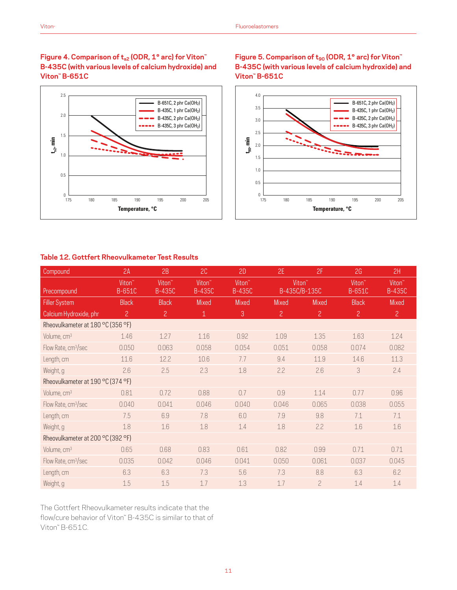### Figure 4. Comparison of t<sub>s2</sub> (ODR, 1° arc) for Viton<sup>™</sup> **B-435C (with various levels of calcium hydroxide) and Viton™ B-651C**



# Figure 5. Comparison of t<sub>90</sub> (ODR, 1° arc) for Viton<sup>™</sup> **B-435C (with various levels of calcium hydroxide) and Viton™ B-651C**



### **Table 12. Gottfert Rheovulkameter Test Results**

| Compound                          | 2A                                  | 2B                                  | 2C                                  | 2D                                  | 2E                 | 2F             | 2G                           | 2H                                  |
|-----------------------------------|-------------------------------------|-------------------------------------|-------------------------------------|-------------------------------------|--------------------|----------------|------------------------------|-------------------------------------|
| Precompound                       | Viton <sup>"</sup><br><b>B-651C</b> | Viton <sup>"</sup><br><b>B-435C</b> | Viton <sup>"</sup><br><b>B-435C</b> | Viton <sup>"</sup><br><b>B-435C</b> | Viton <sup>"</sup> | B-435C/B-135C  | Viton <sup>"</sup><br>B-651C | Viton <sup>"</sup><br><b>B-435C</b> |
| <b>Filler System</b>              | <b>Black</b>                        | <b>Black</b>                        | <b>Mixed</b>                        | <b>Mixed</b>                        | <b>Mixed</b>       | <b>Mixed</b>   | <b>Black</b>                 | <b>Mixed</b>                        |
| Calcium Hydroxide, phr            | $\overline{c}$                      | $\overline{c}$                      | $\mathbf 1$                         | 3                                   | $\overline{c}$     | $\overline{c}$ | $\overline{c}$               | $\overline{c}$                      |
| Rheovulkameter at 180 °C (356 °F) |                                     |                                     |                                     |                                     |                    |                |                              |                                     |
| Volume, cm <sup>3</sup>           | 1.46                                | 1.27                                | 1.16                                | 0.92                                | 1.09               | 1.35           | 1.63                         | 1.24                                |
| Flow Rate, cm <sup>3</sup> /sec   | 0.050                               | 0.063                               | 0.058                               | 0.054                               | 0.051              | 0.058          | 0.074                        | 0.082                               |
| Length, cm                        | 11.6                                | 12.2                                | 10.6                                | 7.7                                 | 9.4                | 11.9           | 14.6                         | 11.3                                |
| Weight, g                         | 2.6                                 | 2.5                                 | 2.3                                 | 1.8                                 | 2.2                | 2.6            | 3                            | 2.4                                 |
| Rheovulkameter at 190 °C (374 °F) |                                     |                                     |                                     |                                     |                    |                |                              |                                     |
| Volume, cm <sup>3</sup>           | 0.81                                | 0.72                                | 0.88                                | 0.7                                 | 0.9                | 1.14           | 0.77                         | 0.96                                |
| Flow Rate, cm <sup>3</sup> /sec   | 0.040                               | 0.041                               | 0.046                               | 0.040                               | 0.046              | 0.065          | 0.038                        | 0.055                               |
| Length, cm                        | 7.5                                 | 6.9                                 | 7.8                                 | 6.0                                 | 7.9                | 9.8            | 7.1                          | 7.1                                 |
| Weight, g                         | 1.8                                 | 1.6                                 | 1.8                                 | 1.4                                 | 1.8                | 2.2            | 1.6                          | 1.6                                 |
| Rheovulkameter at 200 °C (392 °F) |                                     |                                     |                                     |                                     |                    |                |                              |                                     |
| Volume, cm <sup>3</sup>           | 0.65                                | 0.68                                | 0.83                                | 0.61                                | 0.82               | 0.99           | 0.71                         | 0.71                                |
| Flow Rate, cm <sup>3</sup> /sec   | 0.035                               | 0.042                               | 0.046                               | 0.041                               | 0.050              | 0.061          | 0.037                        | 0.045                               |
| Length, cm                        | 6.3                                 | 6.3                                 | 7.3                                 | 5.6                                 | 7.3                | 8.8            | 6.3                          | 6.2                                 |
| Weight, g                         | 1.5                                 | 1.5                                 | 1.7                                 | 1.3                                 | 1.7                | $\overline{c}$ | 1.4                          | 1.4                                 |

The Gottfert Rheovulkameter results indicate that the flow/cure behavior of Viton™ B-435C is similar to that of Viton™ B-651C.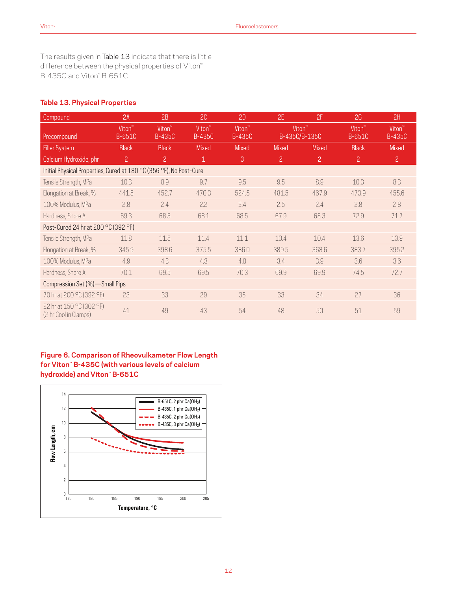The results given in Table 13 indicate that there is little difference between the physical properties of Viton™ B-435C and Viton™ B-651C.

### **Table 13. Physical Properties**

| Compound                                                            | 2A                                  | 2B                           | 2C                                  | 2D                           | 2E                                  | 2F             | 2G                           | 2H                                  |  |  |
|---------------------------------------------------------------------|-------------------------------------|------------------------------|-------------------------------------|------------------------------|-------------------------------------|----------------|------------------------------|-------------------------------------|--|--|
| Precompound                                                         | Viton <sup>"</sup><br><b>B-651C</b> | Viton <sup>"</sup><br>B-435C | Viton <sup>"</sup><br><b>B-435C</b> | Viton <sup>"</sup><br>B-435C | Viton <sup>"</sup><br>B-435C/B-135C |                | Viton <sup>"</sup><br>B-651C | Viton <sup>"</sup><br><b>B-435C</b> |  |  |
| <b>Filler System</b>                                                | <b>Black</b>                        | <b>Black</b>                 | Mixed                               | Mixed                        | Mixed                               | <b>Mixed</b>   | <b>Black</b>                 | <b>Mixed</b>                        |  |  |
| Calcium Hydroxide, phr                                              | $\mathbf{2}$                        | $\overline{c}$               | $\mathbf{1}$                        | 3                            | $\mathbf{2}$                        | $\overline{c}$ | $\overline{c}$               | $\overline{2}$                      |  |  |
| Initial Physical Properties, Cured at 180 °C (356 °F), No Post-Cure |                                     |                              |                                     |                              |                                     |                |                              |                                     |  |  |
| Tensile Strength, MPa                                               | 10.3                                | 8.9                          | 9.7                                 | 9.5                          | 9.5                                 | 8.9            | 10.3                         | 8.3                                 |  |  |
| Elongation at Break, %                                              | 441.5                               | 452.7                        | 470.3                               | 524.5                        | 481.5                               | 467.9          | 473.9                        | 455.6                               |  |  |
| 100% Modulus, MPa                                                   | 2.8                                 | 2.4                          | 2.2                                 | 2.4                          | 2.5                                 | 2.4            | 2.8                          | 2.8                                 |  |  |
| Hardness, Shore A                                                   | 69.3                                | 68.5                         | 68.1                                | 68.5                         | 67.9                                | 68.3           | 72.9                         | 71.7                                |  |  |
| Post-Cured 24 hr at 200 °C (392 °F)                                 |                                     |                              |                                     |                              |                                     |                |                              |                                     |  |  |
| Tensile Strength, MPa                                               | 11.8                                | 11.5                         | 11.4                                | 11.1                         | 10.4                                | 10.4           | 13.6                         | 13.9                                |  |  |
| Elongation at Break, %                                              | 345.9                               | 398.6                        | 375.5                               | 386.0                        | 389.5                               | 368.6          | 383.7                        | 395.2                               |  |  |
| 100% Modulus, MPa                                                   | 4.9                                 | 4.3                          | 4.3                                 | 4.0                          | 3.4                                 | 3.9            | 3.6                          | 3.6                                 |  |  |
| Hardness, Shore A                                                   | 70.1                                | 69.5                         | 69.5                                | 70.3                         | 69.9                                | 69.9           | 74.5                         | 72.7                                |  |  |
| Compression Set (%)-Small Pips                                      |                                     |                              |                                     |                              |                                     |                |                              |                                     |  |  |
| 70 hr at 200 °C (392 °F)                                            | 23                                  | 33                           | 29                                  | 35                           | 33                                  | 34             | 27                           | 36                                  |  |  |
| 22 hr at 150 °C (302 °F)<br>(2 hr Cool in Clamps)                   | 41                                  | 49                           | 43                                  | 54                           | 48                                  | 50             | 51                           | 59                                  |  |  |

# **Figure 6. Comparison of Rheovulkameter Flow Length for Viton™ B-435C (with various levels of calcium hydroxide) and Viton™ B-651C**

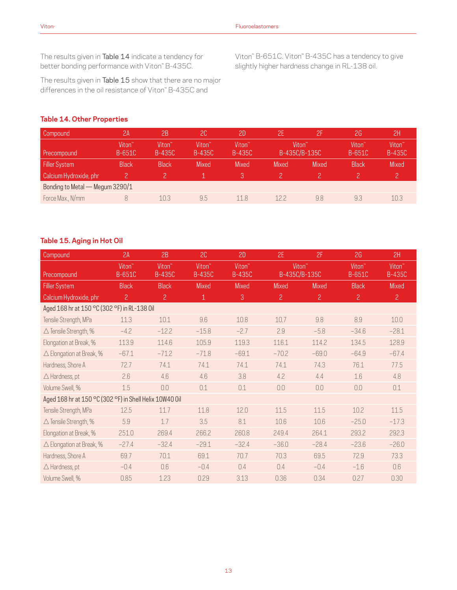The results given in Table 14 indicate a tendency for better bonding performance with Viton" B-435C.

The results given in Table 15 show that there are no major differences in the oil resistance of Viton™ B-435C and

Viton™ B-651C. Viton™ B-435C has a tendency to give slightly higher hardness change in RL-138 oil.

# **Table 14. Other Properties**

| Compound                        | 2A                           | 2B                                  | 2C                           | 2D                           | 2E'                                 | 2F           | 2G                           | 2H                                  |  |  |
|---------------------------------|------------------------------|-------------------------------------|------------------------------|------------------------------|-------------------------------------|--------------|------------------------------|-------------------------------------|--|--|
| Precompound                     | Viton <sup>"</sup><br>B-651C | Viton <sup>"</sup><br><b>B-435C</b> | Viton <sup>"</sup><br>B-435C | Viton <sup>"</sup><br>B-435C | Viton <sup>"</sup><br>B-435C/B-135C |              | Viton <sup>"</sup><br>B-651C | Viton <sup>®</sup><br><b>B-435C</b> |  |  |
| <b>Filler System</b>            | <b>Black</b>                 | <b>Black</b>                        | Mixed                        | <b>Mixed</b>                 | <b>Mixed</b>                        | <b>Mixed</b> | <b>Black</b>                 | <b>Mixed</b>                        |  |  |
| Calcium Hydroxide, phr          |                              |                                     |                              | 3                            |                                     |              |                              |                                     |  |  |
| Bonding to Metal — Megum 3290/1 |                              |                                     |                              |                              |                                     |              |                              |                                     |  |  |
| Force Max., N/mm                |                              | 10.3                                | 9.5                          | 118                          | 122                                 | 9.8          | 9.3                          | 10.3                                |  |  |

#### **Table 15. Aging in Hot Oil**

| Compound                                                | 2A                                  | 2B                                  | 2C                                  | 2D                                  | 2E                                  | 2F             | 2G                              | 2H                                  |  |  |
|---------------------------------------------------------|-------------------------------------|-------------------------------------|-------------------------------------|-------------------------------------|-------------------------------------|----------------|---------------------------------|-------------------------------------|--|--|
| Precompound                                             | Viton <sup>"</sup><br><b>B-651C</b> | Viton <sup>"</sup><br><b>B-435C</b> | Viton <sup>"</sup><br><b>B-435C</b> | Viton <sup>"</sup><br><b>B-435C</b> | Viton <sup>"</sup><br>B-435C/B-135C |                | $V$ iton <sup>"</sup><br>B-651C | Viton <sup>™</sup><br><b>B-435C</b> |  |  |
| <b>Filler System</b>                                    | <b>Black</b>                        | <b>Black</b>                        | Mixed                               | Mixed                               | Mixed                               | Mixed          | <b>Black</b>                    | <b>Mixed</b>                        |  |  |
| Calcium Hydroxide, phr                                  | 2                                   | $\mathbf{2}$                        | $\mathbf 1$                         | 3                                   | $\overline{c}$                      | $\overline{c}$ | $\overline{c}$                  | $\overline{2}$                      |  |  |
| Aged 168 hr at 150 °C (302 °F) in RL-138 0il            |                                     |                                     |                                     |                                     |                                     |                |                                 |                                     |  |  |
| Tensile Strength, MPa                                   | 11.3                                | 10.1                                | 9.6                                 | 10.8                                | 10.7                                | 9.8            | 8.9                             | 10.0                                |  |  |
| $\triangle$ Tensile Strength, %                         | $-4.2$                              | $-12.2$                             | $-15.8$                             | $-2.7$                              | 2.9                                 | $-5.8$         | $-34.6$                         | $-28.1$                             |  |  |
| Elongation at Break, %                                  | 113.9                               | 114.6                               | 105.9                               | 119.3                               | 116.1                               | 114.2          | 134.5                           | 128.9                               |  |  |
| $\triangle$ Elongation at Break, %                      | $-67.1$                             | $-71.2$                             | $-71.8$                             | $-69.1$                             | $-70.2$                             | $-69.0$        | $-64.9$                         | $-67.4$                             |  |  |
| Hardness, Shore A                                       | 72.7                                | 74.1                                | 74.1                                | 74.1                                | 74.1                                | 74.3           | 76.1                            | 77.5                                |  |  |
| $\triangle$ Hardness, pt                                | 2.6                                 | 4.6                                 | 4.6                                 | 3.8                                 | 4.2                                 | 4.4            | 1.6                             | 4.8                                 |  |  |
| Volume Swell, %                                         | 1.5                                 | 0.0                                 | 0.1                                 | 0.1                                 | 0.0                                 | 0.0            | 0.0                             | 0.1                                 |  |  |
| Aged 168 hr at 150 °C (302 °F) in Shell Helix 10W40 0il |                                     |                                     |                                     |                                     |                                     |                |                                 |                                     |  |  |
| Tensile Strength, MPa                                   | 12.5                                | 11.7                                | 11.8                                | 12.0                                | 11.5                                | 11.5           | 10.2                            | 11.5                                |  |  |
| $\triangle$ Tensile Strength, %                         | 5.9                                 | 1.7                                 | 3.5                                 | 8.1                                 | 10.6                                | 10.6           | $-25.0$                         | $-17.3$                             |  |  |
| Elongation at Break, %                                  | 251.0                               | 269.4                               | 266.2                               | 260.8                               | 249.4                               | 264.1          | 293.2                           | 292.3                               |  |  |
| $\triangle$ Elongation at Break, %                      | $-27.4$                             | $-32.4$                             | $-29.1$                             | $-32.4$                             | $-36.0$                             | $-28.4$        | $-23.6$                         | $-26.0$                             |  |  |
| Hardness, Shore A                                       | 69.7                                | 70.1                                | 69.1                                | 70.7                                | 70.3                                | 69.5           | 72.9                            | 73.3                                |  |  |
| $\triangle$ Hardness, pt                                | $-0.4$                              | 0.6                                 | $-0.4$                              | 0.4                                 | 0.4                                 | $-0.4$         | $-1.6$                          | 0.6                                 |  |  |
| Volume Swell, %                                         | 0.85                                | 1.23                                | 0.29                                | 3.13                                | 0.36                                | 0.34           | 0.27                            | 0.30                                |  |  |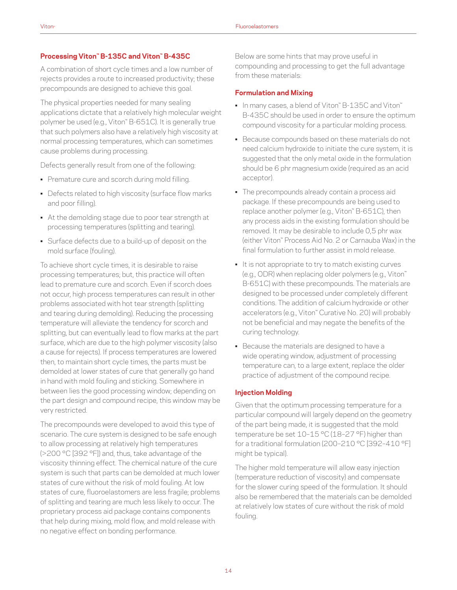#### **Processing Viton™ B-135C and Viton™ B-435C**

A combination of short cycle times and a low number of rejects provides a route to increased productivity; these precompounds are designed to achieve this goal.

The physical properties needed for many sealing applications dictate that a relatively high molecular weight polymer be used (e.g., Viton<sup>™</sup> B-651C). It is generally true that such polymers also have a relatively high viscosity at normal processing temperatures, which can sometimes cause problems during processing.

Defects generally result from one of the following:

- Premature cure and scorch during mold filling.
- Defects related to high viscosity (surface flow marks) and poor filling).
- At the demolding stage due to poor tear strength at processing temperatures (splitting and tearing).
- Surface defects due to a build-up of deposit on the mold surface (fouling).

To achieve short cycle times, it is desirable to raise processing temperatures; but, this practice will often lead to premature cure and scorch. Even if scorch does not occur, high process temperatures can result in other problems associated with hot tear strength (splitting and tearing during demolding). Reducing the processing temperature will alleviate the tendency for scorch and splitting, but can eventually lead to flow marks at the part surface, which are due to the high polymer viscosity (also a cause for rejects). If process temperatures are lowered then, to maintain short cycle times, the parts must be demolded at lower states of cure that generally go hand in hand with mold fouling and sticking. Somewhere in between lies the good processing window; depending on the part design and compound recipe, this window may be very restricted.

The precompounds were developed to avoid this type of scenario. The cure system is designed to be safe enough to allow processing at relatively high temperatures (>200 °C [392 °F]) and, thus, take advantage of the viscosity thinning effect. The chemical nature of the cure system is such that parts can be demolded at much lower states of cure without the risk of mold fouling. At low states of cure, fluoroelastomers are less fragile; problems of splitting and tearing are much less likely to occur. The proprietary process aid package contains components that help during mixing, mold flow, and mold release with no negative effect on bonding performance.

Below are some hints that may prove useful in compounding and processing to get the full advantage from these materials:

#### **Formulation and Mixing**

- In many cases, a blend of Viton™ B-135C and Viton™ B-435C should be used in order to ensure the optimum compound viscosity for a particular molding process.
- Because compounds based on these materials do not need calcium hydroxide to initiate the cure system, it is suggested that the only metal oxide in the formulation should be 6 phr magnesium oxide (required as an acid acceptor).
- The precompounds already contain a process aid package. If these precompounds are being used to replace another polymer (e.g., Viton™ B-651C), then any process aids in the existing formulation should be removed. It may be desirable to include 0,5 phr wax (either Viton™ Process Aid No. 2 or Carnauba Wax) in the final formulation to further assist in mold release.
- It is not appropriate to try to match existing curves (e.g., ODR) when replacing older polymers (e.g., Viton™ B-651C) with these precompounds. The materials are designed to be processed under completely different conditions. The addition of calcium hydroxide or other accelerators (e.g., Viton™ Curative No. 20) will probably not be beneficial and may negate the benefits of the curing technology.
- Because the materials are designed to have a wide operating window, adjustment of processing temperature can, to a large extent, replace the older practice of adjustment of the compound recipe.

#### **Injection Molding**

Given that the optimum processing temperature for a particular compound will largely depend on the geometry of the part being made, it is suggested that the mold temperature be set 10-15 °C (18-27 °F) higher than for a traditional formulation (200–210 °C [392–410 °F] might be typical).

The higher mold temperature will allow easy injection (temperature reduction of viscosity) and compensate for the slower curing speed of the formulation. It should also be remembered that the materials can be demolded at relatively low states of cure without the risk of mold fouling.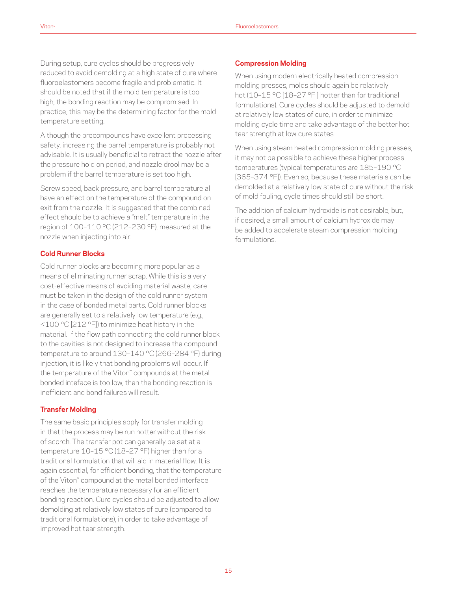During setup, cure cycles should be progressively reduced to avoid demolding at a high state of cure where fluoroelastomers become fragile and problematic. It should be noted that if the mold temperature is too high, the bonding reaction may be compromised. In practice, this may be the determining factor for the mold temperature setting.

Although the precompounds have excellent processing safety, increasing the barrel temperature is probably not advisable. It is usually beneficial to retract the nozzle after the pressure hold on period, and nozzle drool may be a problem if the barrel temperature is set too high.

Screw speed, back pressure, and barrel temperature all have an effect on the temperature of the compound on exit from the nozzle. It is suggested that the combined effect should be to achieve a "melt" temperature in the region of 100–110 °C (212–230 °F), measured at the nozzle when injecting into air.

#### **Cold Runner Blocks**

Cold runner blocks are becoming more popular as a means of eliminating runner scrap. While this is a very cost-effective means of avoiding material waste, care must be taken in the design of the cold runner system in the case of bonded metal parts. Cold runner blocks are generally set to a relatively low temperature (e.g., <100 °C [212 °F]) to minimize heat history in the material. If the flow path connecting the cold runner block to the cavities is not designed to increase the compound temperature to around 130–140 °C (266–284 °F) during injection, it is likely that bonding problems will occur. If the temperature of the Viton™ compounds at the metal bonded inteface is too low, then the bonding reaction is inefficient and bond failures will result.

#### **Transfer Molding**

The same basic principles apply for transfer molding in that the process may be run hotter without the risk of scorch. The transfer pot can generally be set at a temperature 10-15 °C (18-27 °F) higher than for a traditional formulation that will aid in material flow. It is again essential, for efficient bonding, that the temperature of the Viton™ compound at the metal bonded interface reaches the temperature necessary for an efficient bonding reaction. Cure cycles should be adjusted to allow demolding at relatively low states of cure (compared to traditional formulations), in order to take advantage of improved hot tear strength.

#### **Compression Molding**

When using modern electrically heated compression molding presses, molds should again be relatively hot (10-15 °C [18-27 °F ] hotter than for traditional formulations). Cure cycles should be adjusted to demold at relatively low states of cure, in order to minimize molding cycle time and take advantage of the better hot tear strength at low cure states.

When using steam heated compression molding presses, it may not be possible to achieve these higher process temperatures (typical temperatures are 185–190 °C [365–374 °F]). Even so, because these materials can be demolded at a relatively low state of cure without the risk of mold fouling, cycle times should still be short.

The addition of calcium hydroxide is not desirable; but, if desired, a small amount of calcium hydroxide may be added to accelerate steam compression molding formulations.